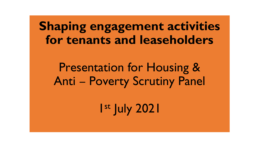**Shaping engagement activities for tenants and leaseholders**

# Presentation for Housing & Anti – Poverty Scrutiny Panel

1 st July 2021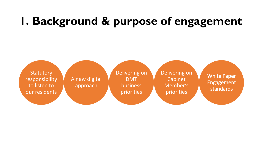# **1. Background & purpose of engagement**

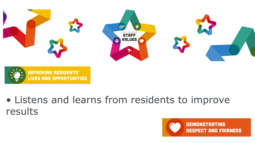

• Listens and learns from residents to improve results

**IMPROVING RESIDENTS'** 

**LIVES AND OPPORTUNITIES** 

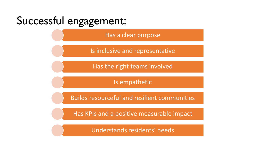

Has a clear purpose

Is inclusive and representative

Has the right teams involved

Is empathetic

Builds resourceful and resilient communities

Has KPIs and a positive measurable impact

Understands residents' needs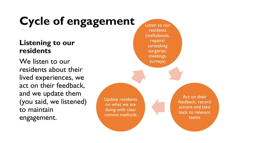# Cycle of engagement Listen to our

#### **Listening to our residents**

We listen to our residents about their lived experiences, we act on their feedback, and we update them (you said, we listened) to maintain engagement.

residents (walkabouts, repairs/ caretaking surgeries, meetings, surveys) Act on their feedback, record actions and take back to relevant teams Update residents on what we are doing with clear comms methods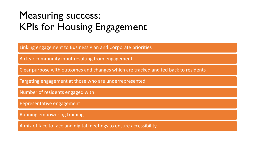### Measuring success: KPIs for Housing Engagement

Linking engagement to Business Plan and Corporate priorities

A clear community input resulting from engagement

Clear purpose with outcomes and changes which are tracked and fed back to residents

Targeting engagement at those who are underrepresented

Number of residents engaged with

Representative engagement

Running empowering training

A mix of face to face and digital meetings to ensure accessibility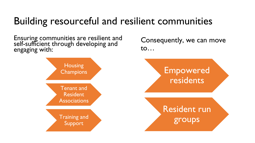### Building resourceful and resilient communities

Ensuring communities are resilient and self-sufficient through developing and engaging with:



Consequently, we can move to…

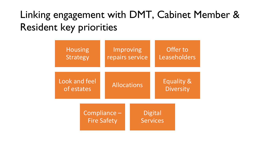## Linking engagement with DMT, Cabinet Member & Resident key priorities

| <b>Housing</b><br><b>Strategy</b> |                                    | Improving<br>repairs service |  |                                   | Offer to<br>Leaseholders                  |  |
|-----------------------------------|------------------------------------|------------------------------|--|-----------------------------------|-------------------------------------------|--|
| Look and feel<br>of estates       |                                    | <b>Allocations</b>           |  |                                   | <b>Equality &amp;</b><br><b>Diversity</b> |  |
|                                   | Compliance -<br><b>Fire Safety</b> |                              |  | <b>Digital</b><br><b>Services</b> |                                           |  |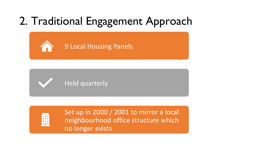# 2. Traditional Engagement Approach





Set up in 2000 / 2001 to mirror a local neighbourhood office structure which no longer exists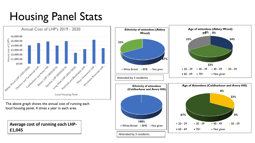# Housing Panel Stats

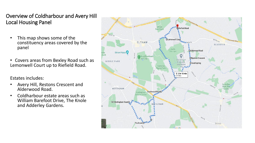#### Overview of Coldharbour and Avery Hill Local Housing Panel

- This map shows some of the constituency areas covered by the panel
- Covers areas from Bexley Road such as Lemonwell Court up to Riefield Road.

Estates includes:

- Avery Hill, Restons Crescent and Alderwood Road.
- Coldharbour estate areas such as William Barefoot Drive, The Knole and Adderley Gardens.

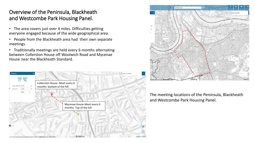#### Overview of the Peninsula, Blackheath and Westcombe Park Housing Panel.

- The area covers just over 4 miles. Difficulties getting everyone engaged because of the wide geographical area.
- People from the Blackheath area had their own separate meetings.
- Traditionally meetings are held every 6 months alternating between Collerston House off Woolwich Road and Mycenae House near the Blackheath Standard.





The meeting locations of the Peninsula, Blackheath and Westcombe Park Housing Panel.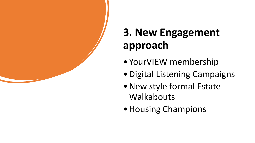

# **3. New Engagement approach**

- YourVIEW membership
- •Digital Listening Campaigns
- •New style formal Estate **Walkabouts**
- Housing Champions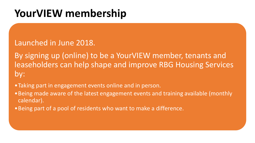## **YourVIEW membership**

#### Launched in June 2018.

By signing up (online) to be a YourVIEW member, tenants and leaseholders can help shape and improve RBG Housing Services by:

- •Taking part in engagement events online and in person.
- •Being made aware of the latest engagement events and training available (monthly calendar).
- •Being part of a pool of residents who want to make a difference.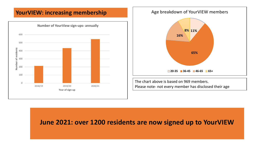#### **YourVIEW: increasing membership**



#### Age breakdown of YourVIEW members



The chart above is based on 969 members. Please note- not every member has disclosed their age

#### **June 2021: over 1200 residents are now signed up to YourVIEW**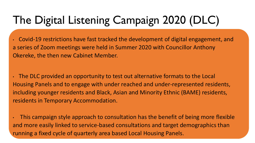# The Digital Listening Campaign 2020 (DLC)

• Covid-19 restrictions have fast tracked the development of digital engagement, and a series of Zoom meetings were held in Summer 2020 with Councillor Anthony Okereke, the then new Cabinet Member.

• The DLC provided an opportunity to test out alternative formats to the Local Housing Panels and to engage with under reached and under-represented residents, including younger residents and Black, Asian and Minority Ethnic (BAME) residents, residents in Temporary Accommodation.

• This campaign style approach to consultation has the benefit of being more flexible and more easily linked to service-based consultations and target demographics than running a fixed cycle of quarterly area based Local Housing Panels.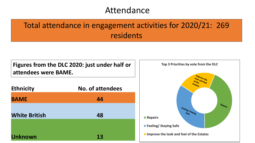### Attendance

### Total attendance in engagement activities for 2020/21: 269 residents

#### **Figures from the DLC 2020: just under half or attendees were BAME.**

| <b>Ethnicity</b>     | <b>No. of attendees</b> |
|----------------------|-------------------------|
| <b>BAME</b>          | 44                      |
| <b>White British</b> | 48                      |
|                      |                         |
| <b>Unknown</b>       | 13                      |

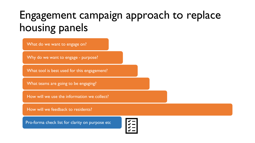## Engagement campaign approach to replace housing panels

What do we want to engage on?

Why do we want to engage - purpose?

What tool is best used for this engagement?

What teams are going to be engaging?

How will we use the information we collect?

How will we feedback to residents?

Pro-forma check list for clarity on purpose etc

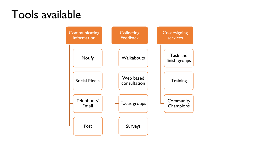## Tools available

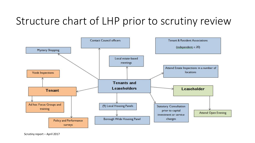## Structure chart of LHP prior to scrutiny review

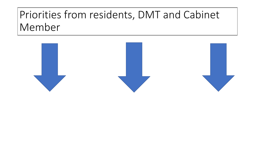## Priorities from residents, DMT and Cabinet Member

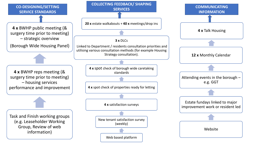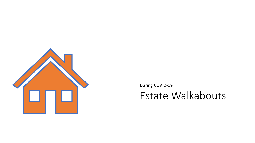

During COVID-19

Estate Walkabouts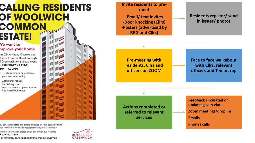### **CALLING RESIDENTS OF WOOLWICH** COMMON **ESTATE!**

#### **Ne want to** mprove your home

in Cllr Anthony Okereke and fficers from the Royal Borough f Greenwich for a virtual event n MONDAY 24 MAY.  $PM - 7.30PM$ 

ell us about issues or problems n your estate including:

- Communal repairs
- Caretaking issues
- Improvements to green spaces
- Anti-social behaviour



ou can share photos and details of issues on your estate by filling ut a form on our website: royalgreenwich.gov.uk/yourview

or more information please email, call or visit our website:

#### 1020 8921 5149

community-participation@royalgreenwich.gov.uk



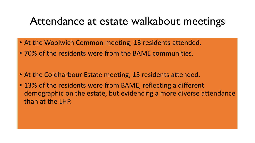### Attendance at estate walkabout meetings

- At the Woolwich Common meeting, 13 residents attended.
- 70% of the residents were from the BAME communities.
- At the Coldharbour Estate meeting, 15 residents attended.
- 13% of the residents were from BAME, reflecting a different demographic on the estate, but evidencing a more diverse attendance than at the LHP.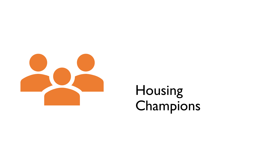

# Housing Champions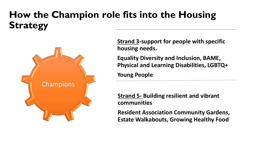### **How the Champion role fits into the Housing Strategy**



**Strand 3-support for people with specific housing needs.**

**Equality Diversity and Inclusion, BAME, Physical and Learning Disabilities, LGBTQ+**

**Young People**

**Strand 5- Building resilient and vibrant communities**

**Resident Association Community Gardens, Estate Walkabouts, Growing Healthy Food**